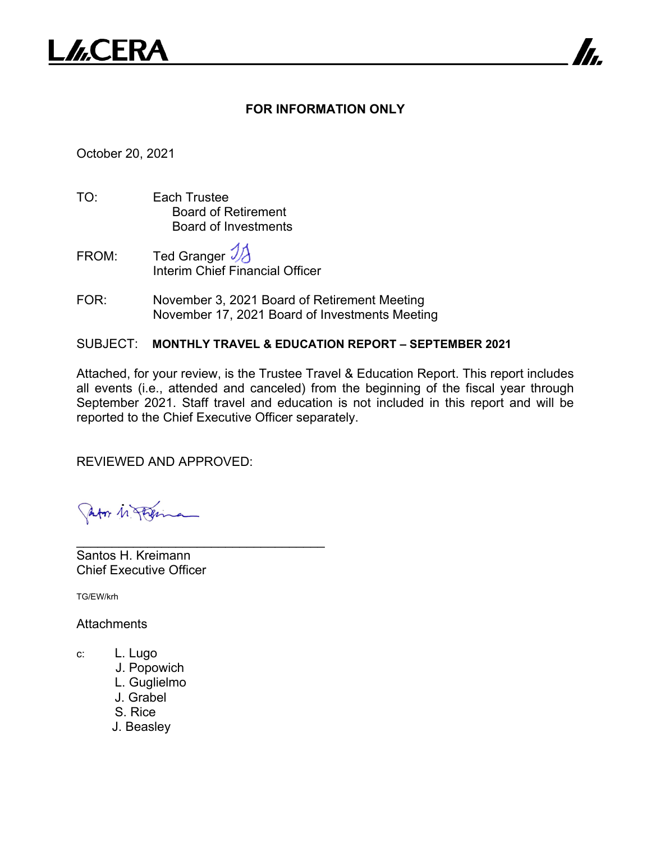

## **FOR INFORMATION ONLY**

7

October 20, 2021

- TO: Each Trustee Board of Retirement Board of Investments
- FROM: Ted Granger  $\mathcal{V}$ Interim Chief Financial Officer
- FOR: November 3, 2021 Board of Retirement Meeting November 17, 2021 Board of Investments Meeting

SUBJECT: **MONTHLY TRAVEL & EDUCATION REPORT – SEPTEMBER 2021**

Attached, for your review, is the Trustee Travel & Education Report. This report includes all events (i.e., attended and canceled) from the beginning of the fiscal year through September 2021. Staff travel and education is not included in this report and will be reported to the Chief Executive Officer separately.

REVIEWED AND APPROVED:

Jator 11 feem

\_\_\_\_\_\_\_\_\_\_\_\_\_\_\_\_\_\_\_\_\_\_\_\_\_\_\_\_\_\_\_\_\_\_\_ Santos H. Kreimann Chief Executive Officer

TG/EW/krh

**Attachments** 

- c: L. Lugo
	- J. Popowich
	- L. Guglielmo
	- J. Grabel
	- S. Rice
	- J. Beasley